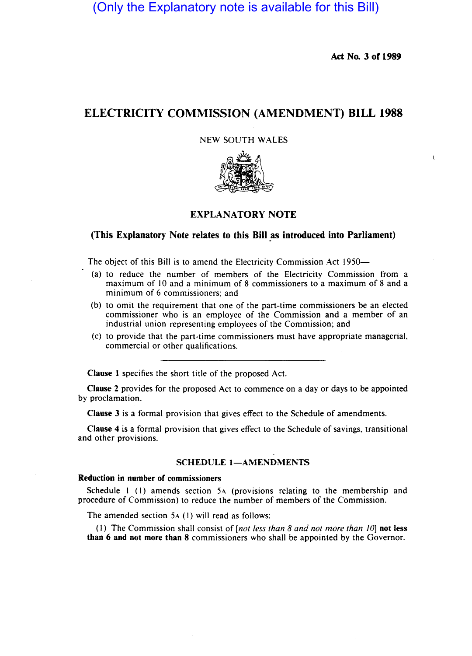(Only the Explanatory note is available for this Bill)

Act No. 3 of 1989

# ELECTRICITY COMMISSION (AMENDMENT) BILL 1988

NEW SOUTH WALES



## EXPLANATORY NOTE

## (This Explanatory Note relates to this Bill as introduced into Parliament)

The object of this Bill is to amend the Electricity Commission Act 1950-

- (a) to reduce the number of members of the Electricity Commission from a maximum of 10 and a minimum of 8 commissioners to a maximum of 8 and a minimum of 6 commissioners; and
- (b) to omit the requirement that one of the part-time commissioners be an elected commissioner who is an employee of the Commission and a member of an industrial union representing employees of the Commission; and
- (c) to provide that the part-time commissioners must have appropriate managerial, commercial or other qualifications.

Clause I specifies the short title of the proposed Act.

Clause 2 provides for the proposed Act to commence on a day or days to be appointed by proclamation.

Clause 3 is a formal provision that gives effect to the Schedule of amendments.

Clause 4 is a formal provision that gives effect to the Schedule of savings, transitional and other provisions.

## SCHEDULE 1-AMENDMENTS

#### Reduction in number of commissioners

Schedule 1 (1) amends section 5A (provisions relating to the membership and procedure of Commission) to reduce the number of members of the Commission.

The amended section 5A (I) will read as follows:

(I) The Commission shall consist of *[not less than* 8 *and not more than* /0] not less than 6 and not more than 8 commissioners who shall be appointed by the Governor.